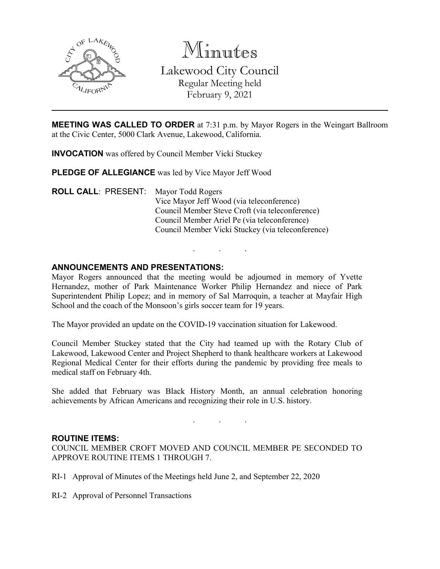

Minutes Lakewood City Council Regular Meeting held February 9, 2021

**MEETING WAS CALLED TO ORDER** at 7:31 p.m. by Mayor Rogers in the Weingart Ballroom at the Civic Center, 5000 Clark Avenue, Lakewood, California.

**INVOCATION** was offered by Council Member Vicki Stuckey

**PLEDGE OF ALLEGIANCE** was led by Vice Mayor Jeff Wood

**ROLL CALL**: PRESENT: Mayor Todd Rogers Vice Mayor Jeff Wood (via teleconference) Council Member Steve Croft (via teleconference) Council Member Ariel Pe (via teleconference) Council Member Vicki Stuckey (via teleconference)

### **ANNOUNCEMENTS AND PRESENTATIONS:**

Mayor Rogers announced that the meeting would be adjourned in memory of Yvette Hernandez, mother of Park Maintenance Worker Philip Hernandez and niece of Park Superintendent Philip Lopez; and in memory of Sal Marroquin, a teacher at Mayfair High School and the coach of the Monsoon's girls soccer team for 19 years.

. . .

The Mayor provided an update on the COVID-19 vaccination situation for Lakewood.

Council Member Stuckey stated that the City had teamed up with the Rotary Club of Lakewood, Lakewood Center and Project Shepherd to thank healthcare workers at Lakewood Regional Medical Center for their efforts during the pandemic by providing free meals to medical staff on February 4th.

She added that February was Black History Month, an annual celebration honoring achievements by African Americans and recognizing their role in U.S. history.

. . .

#### **ROUTINE ITEMS:**

COUNCIL MEMBER CROFT MOVED AND COUNCIL MEMBER PE SECONDED TO APPROVE ROUTINE ITEMS 1 THROUGH 7.

- RI-1 Approval of Minutes of the Meetings held June 2, and September 22, 2020
- RI-2 Approval of Personnel Transactions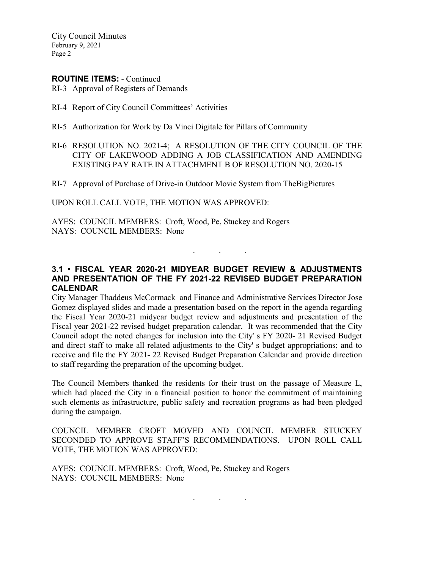City Council Minutes February 9, 2021 Page 2

### **ROUTINE ITEMS:** - Continued

- RI-3 Approval of Registers of Demands
- RI-4 Report of City Council Committees' Activities
- RI-5 Authorization for Work by Da Vinci Digitale for Pillars of Community
- RI-6 RESOLUTION NO. 2021-4; A RESOLUTION OF THE CITY COUNCIL OF THE CITY OF LAKEWOOD ADDING A JOB CLASSIFICATION AND AMENDING EXISTING PAY RATE IN ATTACHMENT B OF RESOLUTION NO. 2020-15
- RI-7 Approval of Purchase of Drive-in Outdoor Movie System from TheBigPictures

UPON ROLL CALL VOTE, THE MOTION WAS APPROVED:

AYES: COUNCIL MEMBERS: Croft, Wood, Pe, Stuckey and Rogers NAYS: COUNCIL MEMBERS: None

# **3.1 • FISCAL YEAR 2020-21 MIDYEAR BUDGET REVIEW & ADJUSTMENTS AND PRESENTATION OF THE FY 2021-22 REVISED BUDGET PREPARATION CALENDAR**

. . .

City Manager Thaddeus McCormack and Finance and Administrative Services Director Jose Gomez displayed slides and made a presentation based on the report in the agenda regarding the Fiscal Year 2020-21 midyear budget review and adjustments and presentation of the Fiscal year 2021-22 revised budget preparation calendar. It was recommended that the City Council adopt the noted changes for inclusion into the City' s FY 2020- 21 Revised Budget and direct staff to make all related adjustments to the City' s budget appropriations; and to receive and file the FY 2021- 22 Revised Budget Preparation Calendar and provide direction to staff regarding the preparation of the upcoming budget.

The Council Members thanked the residents for their trust on the passage of Measure L, which had placed the City in a financial position to honor the commitment of maintaining such elements as infrastructure, public safety and recreation programs as had been pledged during the campaign.

COUNCIL MEMBER CROFT MOVED AND COUNCIL MEMBER STUCKEY SECONDED TO APPROVE STAFF'S RECOMMENDATIONS. UPON ROLL CALL VOTE, THE MOTION WAS APPROVED:

. . .

AYES: COUNCIL MEMBERS: Croft, Wood, Pe, Stuckey and Rogers NAYS: COUNCIL MEMBERS: None